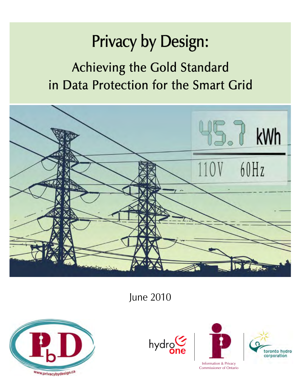# Privacy by Design: Achieving the Gold Standard in Data Protection for the Smart Grid



June 2010







Information & Privacy Commissioner of Ontario

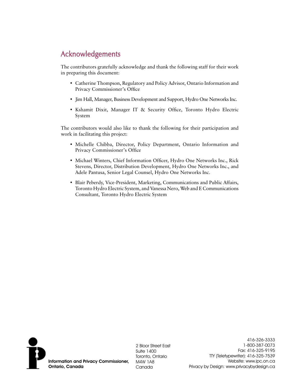## Acknowledgements

The contributors gratefully acknowledge and thank the following staff for their work in preparing this document:

- Catherine Thompson, Regulatory and Policy Advisor, Ontario Information and Privacy Commissioner's Office
- Jim Hall, Manager, Business Development and Support, Hydro One Networks Inc.
- • Kshamit Dixit, Manager IT & Security Office, Toronto Hydro Electric System

The contributors would also like to thank the following for their participation and work in facilitating this project:

- • Michelle Chibba, Director, Policy Department, Ontario Information and Privacy Commissioner's Office
- Michael Winters, Chief Information Officer, Hydro One Networks Inc., Rick Stevens, Director, Distribution Development, Hydro One Networks Inc., and Adele Pantusa, Senior Legal Counsel, Hydro One Networks Inc.
- Blair Peberdy, Vice-President, Marketing, Communications and Public Affairs, Toronto Hydro Electric System, and Vanessa Nero, Web and E Communications Consultant, Toronto Hydro Electric System



2 Bloor Street East Suite 1400 Toronto, Ontario M4W 1A8 Canada

416-326-3333 1-800-387-0073 Fax: 416-325-9195 TTY (Teletypewriter): 416-325-7539 Website: www.ipc.on.ca Privacy by Design: www.privacybydesign.ca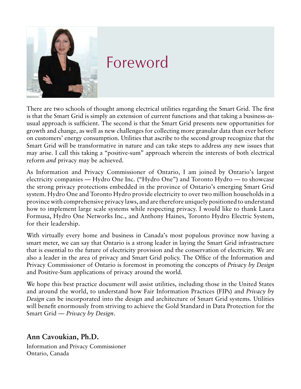

# Foreword

There are two schools of thought among electrical utilities regarding the Smart Grid. The first is that the Smart Grid is simply an extension of current functions and that taking a business-asusual approach is sufficient. The second is that the Smart Grid presents new opportunities for growth and change, as well as new challenges for collecting more granular data than ever before on customers' energy consumption. Utilities that ascribe to the second group recognize that the Smart Grid will be transformative in nature and can take steps to address any new issues that may arise. I call this taking a "positive-sum" approach wherein the interests of both electrical reform *and* privacy may be achieved.

As Information and Privacy Commissioner of Ontario, I am joined by Ontario's largest electricity companies — Hydro One Inc. ("Hydro One") and Toronto Hydro — to showcase the strong privacy protections embedded in the province of Ontario's emerging Smart Grid system. Hydro One and Toronto Hydro provide electricity to over two million households in a province with comprehensive privacy laws, and are therefore uniquely positioned to understand how to implement large scale systems while respecting privacy. I would like to thank Laura Formusa, Hydro One Networks Inc., and Anthony Haines, Toronto Hydro Electric System, for their leadership.

With virtually every home and business in Canada's most populous province now having a smart meter, we can say that Ontario is a strong leader in laying the Smart Grid infrastructure that is essential to the future of electricity provision and the conservation of electricity. We are also a leader in the area of privacy and Smart Grid policy. The Office of the Information and Privacy Commissioner of Ontario is foremost in promoting the concepts of *Privacy by Design* and Positive-Sum applications of privacy around the world.

We hope this best practice document will assist utilities, including those in the United States and around the world, to understand how Fair Information Practices (FIPs) and *Privacy by Design* can be incorporated into the design and architecture of Smart Grid systems. Utilities will benefit enormously from striving to achieve the Gold Standard in Data Protection for the Smart Grid — *Privacy by Design*.

**Ann Cavoukian, Ph.D.** Information and Privacy Commissioner Ontario, Canada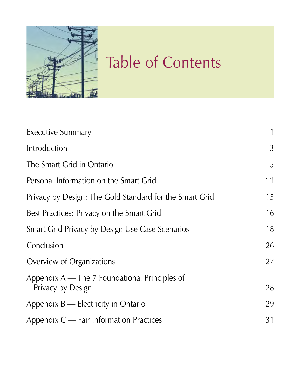

# Table of Contents

| <b>Executive Summary</b>                                             | 1  |
|----------------------------------------------------------------------|----|
| Introduction                                                         | 3  |
| The Smart Grid in Ontario                                            | 5  |
| Personal Information on the Smart Grid                               | 11 |
| Privacy by Design: The Gold Standard for the Smart Grid              | 15 |
| Best Practices: Privacy on the Smart Grid                            | 16 |
| Smart Grid Privacy by Design Use Case Scenarios                      | 18 |
| Conclusion                                                           | 26 |
| Overview of Organizations                                            | 27 |
| Appendix $A$ — The 7 Foundational Principles of<br>Privacy by Design | 28 |
| Appendix B — Electricity in Ontario                                  | 29 |
| Appendix C — Fair Information Practices                              | 31 |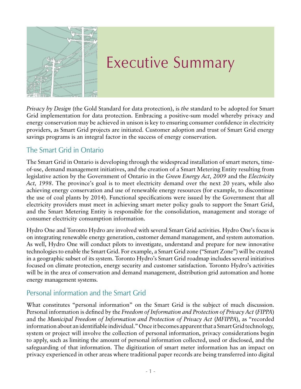

# Executive Summary

*Privacy by Design* (the Gold Standard for data protection), is *the* standard to be adopted for Smart Grid implementation for data protection. Embracing a positive-sum model whereby privacy and energy conservation may be achieved in unison is key to ensuring consumer confidence in electricity providers, as Smart Grid projects are initiated. Customer adoption and trust of Smart Grid energy savings programs is an integral factor in the success of energy conservation.

## The Smart Grid in Ontario

The Smart Grid in Ontario is developing through the widespread installation of smart meters, timeof-use, demand management initiatives, and the creation of a Smart Metering Entity resulting from legislative action by the Government of Ontario in the *Green Energy Act, 2009* and the *Electricity Act, 1998*. The province's goal is to meet electricity demand over the next 20 years, while also achieving energy conservation and use of renewable energy resources (for example, to discontinue the use of coal plants by 2014). Functional specifications were issued by the Government that all electricity providers must meet in achieving smart meter policy goals to support the Smart Grid, and the Smart Metering Entity is responsible for the consolidation, management and storage of consumer electricity consumption information.

Hydro One and Toronto Hydro are involved with several Smart Grid activities. Hydro One's focus is on integrating renewable energy generation, customer demand management, and system automation. As well, Hydro One will conduct pilots to investigate, understand and prepare for new innovative technologies to enable the Smart Grid. For example, a Smart Grid zone ("Smart Zone") will be created in a geographic subset of its system. Toronto Hydro's Smart Grid roadmap includes several initiatives focused on climate protection, energy security and customer satisfaction. Toronto Hydro's activities will be in the area of conservation and demand management, distribution grid automation and home energy management systems.

## Personal information and the Smart Grid

What constitutes "personal information" on the Smart Grid is the subject of much discussion. Personal information is defined by the *Freedom of Information and Protection of Privacy Act* (*FIPPA*) and the *Municipal Freedom of Information and Protection of Privacy Act* (*MFIPPA*), as "recorded information about an identifiable individual." Once it becomes apparent that a Smart Grid technology, system or project will involve the collection of personal information, privacy considerations begin to apply, such as limiting the amount of personal information collected, used or disclosed, and the safeguarding of that information. The digitization of smart meter information has an impact on privacy experienced in other areas where traditional paper records are being transferred into digital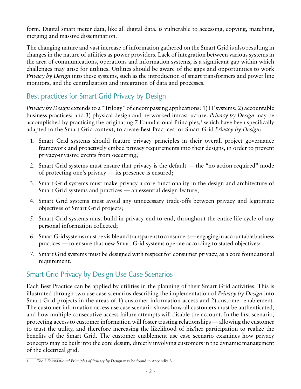form. Digital smart meter data, like all digital data, is vulnerable to accessing, copying, matching, merging and massive dissemination.

The changing nature and vast increase of information gathered on the Smart Grid is also resulting in changes in the nature of utilities as power providers. Lack of integration between various systems in the area of communications, operations and information systems, is a significant gap within which challenges may arise for utilities. Utilities should be aware of the gaps and opportunities to work *Privacy by Design* into these systems, such as the introduction of smart transformers and power line monitors, and the centralization and integration of data and processes.

## Best practices for Smart Grid Privacy by Design

*Privacy by Design* extends to a "Trilogy" of encompassing applications: 1) IT systems; 2) accountable business practices; and 3) physical design and networked infrastructure. *Privacy by Design* may be accomplished by practicing the originating 7 Foundational Principles,<sup>1</sup> which have been specifically adapted to the Smart Grid context, to create Best Practices for Smart Grid *Privacy by Design*:

- 1. Smart Grid systems should feature privacy principles in their overall project governance framework and proactively embed privacy requirements into their designs, in order to prevent privacy-invasive events from occurring;
- 2. Smart Grid systems must ensure that privacy is the default the "no action required" mode of protecting one's privacy — its presence is ensured;
- 3. Smart Grid systems must make privacy a core functionality in the design and architecture of Smart Grid systems and practices — an essential design feature;
- 4. Smart Grid systems must avoid any unnecessary trade-offs between privacy and legitimate objectives of Smart Grid projects;
- 5. Smart Grid systems must build in privacy end-to-end, throughout the entire life cycle of any personal information collected;
- 6. Smart Grid systems must be visible and transparent to consumers engaging in accountable business practices — to ensure that new Smart Grid systems operate according to stated objectives;
- 7. Smart Grid systems must be designed with respect for consumer privacy, as a core foundational requirement.

## Smart Grid Privacy by Design Use Case Scenarios

Each Best Practice can be applied by utilities in the planning of their Smart Grid activities. This is illustrated through two use case scenarios describing the implementation of *Privacy by Design* into Smart Grid projects in the areas of 1) customer information access and 2) customer enablement. The customer information access use case scenario shows how all customers must be authenticated, and how multiple consecutive access failure attempts will disable the account. In the first scenario, protecting access to customer information will foster trusting relationships — allowing the customer to trust the utility, and therefore increasing the likelihood of his/her participation to realize the benefits of the Smart Grid. The customer enablement use case scenario examines how privacy concepts may be built into the core design, directly involving customers in the dynamic management of the electrical grid.

<sup>1</sup> *The 7 Foundational Principles of Privacy by Design* may be found in Appendix A.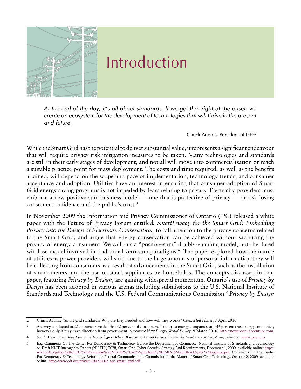

# Introduction

*At the end of the day, it's all about standards. If we get that right at the onset, we create an ecosystem for the development of technologies that will thrive in the present and future.*

Chuck Adams, President of IEEE2

While the Smart Grid has the potential to deliver substantial value, it represents a significant endeavour that will require privacy risk mitigation measures to be taken. Many technologies and standards are still in their early stages of development, and not all will move into commercialization or reach a suitable practice point for mass deployment. The costs and time required, as well as the benefits attained, will depend on the scope and pace of implementation, technology trends, and consumer acceptance and adoption. Utilities have an interest in ensuring that consumer adoption of Smart Grid energy saving programs is not impeded by fears relating to privacy. Electricity providers must embrace a new positive-sum business model — one that is protective of privacy — or risk losing consumer confidence and the public's trust.3

In November 2009 the Information and Privacy Commissioner of Ontario (IPC) released a white paper with the Future of Privacy Forum entitled, *SmartPrivacy for the Smart Grid: Embedding Privacy into the Design of Electricity Conservation,* to call attention to the privacy concerns related to the Smart Grid, and argue that energy conservation can be achieved without sacrificing the privacy of energy consumers. We call this a "positive-sum" doubly-enabling model, not the dated win-lose model involved in traditional zero-sum paradigms.<sup>4</sup> The paper explored how the nature of utilities as power providers will shift due to the large amounts of personal information they will be collecting from consumers as a result of advancements in the Smart Grid, such as the installation of smart meters and the use of smart appliances by households. The concepts discussed in that paper, featuring *Privacy by Design*, are gaining widespread momentum. Ontario's use of *Privacy by Design* has been adopted in various arenas including submissions to the U.S. National Institute of Standards and Technology and the U.S. Federal Communications Commission.5 *Privacy by Design*

<sup>2</sup> Chuck Adams, "Smart grid standards: Why are they needed and how will they work?" *Connected Planet*, 7 April 2010

<sup>3</sup> A survey conducted in 22 countries revealed that 32 per cent of consumers do not trust energy companies, and 46 per cent trust energy companies, however only if they have direction from government. *Accenture New Energy World Survey*, 9 March 2010: http://newsroom.accenture.com

<sup>4</sup> See A. Cavoukian, *Transformative Technologies Deliver Both Security and Privacy: Think Positive-Sum not Zero-Sum*, online at: www.ipc.on.ca

<sup>5</sup> E.g. Comments Of The Center For Democracy & Technology Before the Department of Commerce, National Institute of Standards and Technology on Draft NIST Interagency Report (NISTIR) 7628, Smart Grid Cyber Security Strategy And Requirements, December 1, 2009, available online: http:// www.cdt.org/files/pdfs/CDT%20Comment%20NISTIR%207628%20Draft%2012-02-09%20FINAL%20-%20updated.pdf; Comments Of The Center For Democracy & Technology Before the Federal Communications Commission In the Matter of Smart Grid Technology, October 2, 2009, available online: http://www.cdt.org/privacy/20091002\_fcc\_smart\_grid.pdf .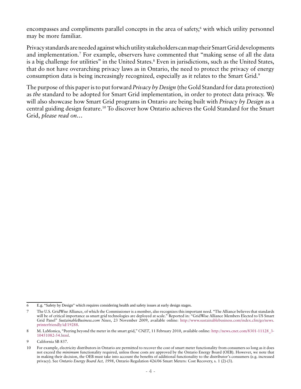encompasses and compliments parallel concepts in the area of safety,<sup>6</sup> with which utility personnel may be more familiar.

Privacy standards are needed against which utility stakeholders can map their Smart Grid developments and implementation.7 For example, observers have commented that "making sense of all the data is a big challenge for utilities" in the United States.<sup>8</sup> Even in jurisdictions, such as the United States, that do not have overarching privacy laws as in Ontario, the need to protect the privacy of energy consumption data is being increasingly recognized, especially as it relates to the Smart Grid.<sup>9</sup>

The purpose of this paper is to put forward *Privacy by Design* (the Gold Standard for data protection) as *the* standard to be adopted for Smart Grid implementation, in order to protect data privacy. We will also showcase how Smart Grid programs in Ontario are being built with *Privacy by Design* as a central guiding design feature.10 To discover how Ontario achieves the Gold Standard for the Smart Grid, *please read on…*

<sup>6</sup> E.g. "Safety by Design" which requires considering health and safety issues at early design stages.

<sup>7</sup> The U.S. GridWise Alliance, of which the Commissioner is a member, also recognizes this important need. "The Alliance believes that standards will be of critical importance as smart grid technologies are deployed at scale." Reported in: "GridWise Alliance Members Elected to US Smart Grid Panel" *SustainableBusiness.com News*, 23 November 2009, available online: http://www.sustainablebusiness.com/index.cfm/go/news. printerfriendly/id/19288.

<sup>8</sup> M. LaMonica, "Peering beyond the meter in the smart grid," *CNET*, 11 February 2010, available online: http://news.cnet.com/8301-11128 3-10451082-54.html.

<sup>9</sup> California SB 837.

<sup>10</sup> For example, electricity distributors in Ontario are permitted to recover the cost of smart meter functionality from consumers so long as it does not exceed the *minimum* functionality required, unless those costs are approved by the Ontario Energy Board (OEB). However, we note that in making their decision, the OEB must take into account the benefits of additional functionality to the distributor's consumers (e.g. increased privacy). See *Ontario Energy Board Act, 1998*, Ontario Regulation 426/06 Smart Meters: Cost Recovery, s. 1 (2)-(3).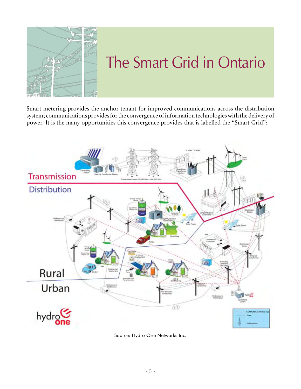

# The Smart Grid in Ontario

Smart metering provides the anchor tenant for improved communications across the distribution system; communications provides for the convergence of information technologies with the delivery of power. It is the many opportunities this convergence provides that is labelled the "Smart Grid":



Source: Hydro One Networks Inc.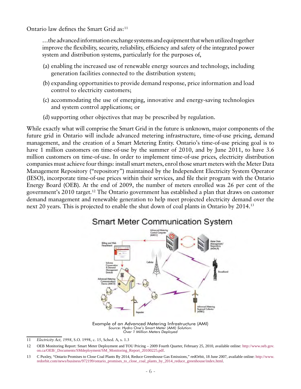Ontario law defines the Smart Grid as:<sup>11</sup>

…the advanced information exchange systems and equipment that when utilized together improve the flexibility, security, reliability, efficiency and safety of the integrated power system and distribution systems, particularly for the purposes of,

- (a) enabling the increased use of renewable energy sources and technology, including generation facilities connected to the distribution system;
- (b) expanding opportunities to provide demand response, price information and load control to electricity customers;
- (c) accommodating the use of emerging, innovative and energy-saving technologies and system control applications; or
- (d) supporting other objectives that may be prescribed by regulation.

While exactly what will comprise the Smart Grid in the future is unknown, major components of the future grid in Ontario will include advanced metering infrastructure, time-of-use pricing, demand management, and the creation of a Smart Metering Entity. Ontario's time-of-use pricing goal is to have 1 million customers on time-of-use by the summer of 2010, and by June 2011, to have 3.6 million customers on time-of-use. In order to implement time-of-use prices, electricity distribution companies must achieve four things: install smart meters, enrol those smart meters with the Meter Data Management Repository ("repository") maintained by the Independent Electricity System Operator (IESO), incorporate time-of-use prices within their services, and file their program with the Ontario Energy Board (OEB). At the end of 2009, the number of meters enrolled was 26 per cent of the government's 2010 target.12 The Ontario government has established a plan that draws on customer demand management and renewable generation to help meet projected electricity demand over the next 20 years. This is projected to enable the shut down of coal plants in Ontario by 2014.13



Example of an Advanced Metering Infrastructure (AMI) *Source: Hydro One's Smart Meter (AMI) Solution: Over 1 Million Meters Deployed*

<sup>11</sup> *Electricity Act, 1998*, S.O. 1998, c. 15, Sched. A, s. 1.3

<sup>12</sup> OEB Monitoring Report: Smart Meter Deployment and TOU Pricing – 2009 Fourth Quarter, February 25, 2010, available online: http://www.oeb.gov. on.ca/OEB/\_Documents/SMdeployment/SM\_Monitoring\_Report\_20100225.pdf.

<sup>13</sup> C Puxley, "Ontario Promises to Close Coal Plants By 2014, Reduce Greenhouse Gas Emissions," redOrbit, 18 June 2007, available online: http://www. redorbit.com/news/business/972199/ontario\_promises\_to\_close\_coal\_plants\_by\_2014\_reduce\_greenhouse/index.html.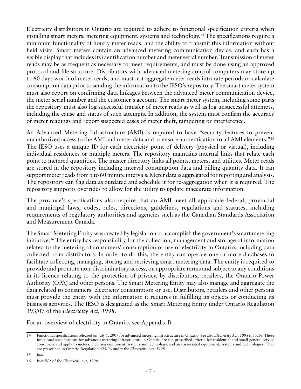Electricity distributors in Ontario are required to adhere to functional specification criteria when installing smart meters, metering equipment, systems and technology.<sup>14</sup> The specifications require a minimum functionality of hourly meter reads, and the ability to transmit this information without field visits. Smart meters contain an advanced metering communication device, and each has a visible display that includes its identification number and meter serial number. Transmission of meter reads may be as frequent as necessary to meet requirements, and must be done using an approved protocol and file structure. Distributors with advanced metering control computers may store up to 60 days worth of meter reads, and must not aggregate meter reads into rate periods or calculate consumption data prior to sending the information to the IESO's repository. The smart meter system must also report on confirming data linkages between the advanced meter communication device, the meter serial number and the customer's account. The smart meter system, including some parts the repository must also log successful transfer of meter reads as well as log unsuccessful attempts, including the cause and status of such attempts. In addition, the system must confirm the accuracy of meter readings and report suspected cases of meter theft, tampering or interference.

An Advanced Metering Infrastructure (AMI) is required to have "security features to prevent unauthorized access to the AMI and meter data and to ensure authentication to all AMI elements."15 The IESO uses a unique ID for each electricity point of delivery (physical or virtual), including individual residences or multiple meters. The repository maintains internal links that relate each point to metered quantities. The master directory links all points, meters, and utilities. Meter reads are stored in the repository including interval consumption data and billing quantity data. It can support meter reads from 5 to 60 minute intervals. Meter data is aggregated for reporting and analysis. The repository can flag data as outdated and schedule it for re-aggregation when it is required. The repository supports overrides to allow for the utility to update inaccurate information.

The province's specifications also require that an AMI meet all applicable federal, provincial and municipal laws, codes, rules, directions, guidelines, regulations and statutes, including requirements of regulatory authorities and agencies such as the Canadian Standards Association and Measurement Canada.

The Smart Metering Entity was created by legislation to accomplish the government's smart metering initiative.**16** The entity has responsibility for the collection, management and storage of information related to the metering of consumers' consumption or use of electricity in Ontario, including data collected from distributors. In order to do this, the entity can operate one or more databases to facilitate collecting, managing, storing and retrieving smart metering data. The entity is required to provide and promote non-discriminatory access, on appropriate terms and subject to any conditions in its licence relating to the protection of privacy, by distributors, retailers, the Ontario Power Authority (OPA) and other persons. The Smart Metering Entity may also manage and aggregate the data related to consumers' electricity consumption or use. Distributors, retailers and other persons must provide the entity with the information it requires in fulfilling its objects or conducting its business activities. The IESO is designated as the Smart Metering Entity under Ontario Regulation 393/07 of the *Electricity Act, 1998*.

For an overview of electricity in Ontario, see Appendix B.

15 *Ibid.*

<sup>14</sup> Functional specifications released on July 5, 2007 for advanced metering infrastructure in Ontario. See also *Electricity Act, 1998* s. 53.16. These functional specifications for advanced metering infrastructure in Ontario are the prescribed criteria for residential and small general service consumers and apply to meters, metering equipment, systems and technology, and any associated equipment, systems and technologies. They are prescribed in Ontario Regulation 425/06 under the *Electricity Act, 1998*.

<sup>16</sup> Part IV.2 of the *Electricity Act, 1998*.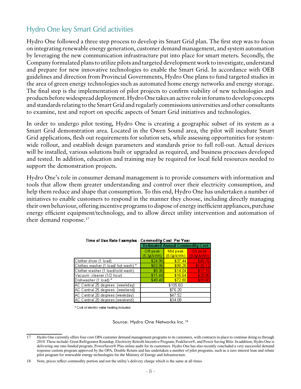## Hydro One key Smart Grid activities

Hydro One followed a three step process to develop its Smart Grid plan. The first step was to focus on integrating renewable energy generation, customer demand management, and system automation by leveraging the new communication infrastructure put into place for smart meters. Secondly, the Company formulated plans to utilize pilots and targeted development work to investigate, understand and prepare for new innovative technologies to enable the Smart Grid. In accordance with OEB guidelines and direction from Provincial Governments, Hydro One plans to fund targeted studies in the area of green energy technologies such as automated home energy networks and energy storage. The final step is the implementation of pilot projects to confirm viability of new technologies and products before widespread deployment. Hydro One takes an active role in forums to develop concepts and standards relating to the Smart Grid and regularly commissions universities and other consultants to examine, test and report on specific aspects of Smart Grid initiatives and technologies.

In order to undergo pilot testing, Hydro One is creating a geographic subset of its system as a Smart Grid demonstration area. Located in the Owen Sound area, the pilot will incubate Smart Grid applications, flesh out requirements for solution sets, while assessing opportunities for systemwide rollout, and establish design parameters and standards prior to full roll-out. Actual devices will be installed, various solutions built or upgraded as required, and business processes developed and tested. In addition, education and training may be required for local field resources needed to support the demonstration projects.

Hydro One's role in consumer demand management is to provide consumers with information and tools that allow them greater understanding and control over their electricity consumption, and help them reduce and shape that consumption. To this end, Hydro One has undertaken a number of initiatives to enable customers to respond in the manner they choose, including directly managing their own behaviour, offering incentive programs to dispose of energy inefficient appliances, purchase energy efficient equipment/technology, and to allow direct utility intervention and automation of their demand response.<sup>17</sup>

|                                     |                     | <b>Estimated Annual Commodity Cost</b> |                       |
|-------------------------------------|---------------------|----------------------------------------|-----------------------|
|                                     | Off-peak            | Mid peak                               | On-peak               |
|                                     | $(5.3\not\in$ /kWh) | $(8.0$ $\ell$ /kWh)                    | $(9.9$ <i>č</i> /kWh) |
| Clother dryer (1 load)              | \$24.96             | \$37.44                                | \$45.76               |
| Clothes washer (1 load/ hot wash) * | \$63.96             | \$98.28                                | \$120.12              |
| Clother washer (1 load/cold wash)   | \$9.36              | \$14.04                                | \$17.16               |
| Vacuum cleaner (1/2 hour)           | \$11.44             | \$16.64                                | \$20.80               |
| Dishwasher (1 load) *               | \$49.40             | \$72.80                                | \$93.60               |
| AC Central 25 degrees (weekday)     |                     | \$105.60                               |                       |
| AC Central 25 degrees (weekend)     |                     | \$76.20                                |                       |
| AC Central 20 degrees (weekday)     |                     | \$47.52                                |                       |
| AC Control 20 degrees (weekend)     |                     | <b>ହ</b> ର⊿ ∩ଇ                         |                       |

| Time of Use Rate Examples - Commodity Cost Per Year |
|-----------------------------------------------------|
|-----------------------------------------------------|

\* Cost of electric water heating included.

Source: Hydro One Networks Inc.<sup>18</sup>

<sup>17</sup> Hydro One currently offers four core OPA customer demand management programs to its customers, with contracts in place to continue doing so through 2010. These include: Great Refrigerator Roundup, Electricity Retrofit Incentive Program, PeakSaver®, and Power Saving Blitz. In addition, Hydro One is delivering one rate-funded program, PowerSaver® Plus online audit for its customers. Hydro One has also recently concluded a very successful demand response custom program approved by the OPA, Double Return and has undertaken a number of pilot programs, such as a zero interest loan and rebate pilot program for renewable energy technologies for the Ministry of Energy and Infrastructure.

<sup>18</sup> Note, prices reflect commodity portion and not the utility's delivery charge which is the same at all times.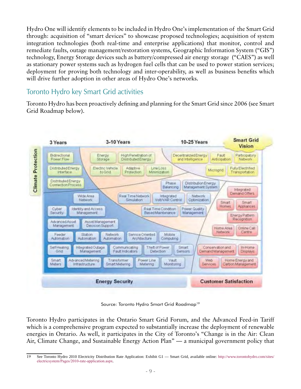Hydro One will identify elements to be included in Hydro One's implementation of the Smart Grid through: acquisition of "smart devices" to showcase proposed technologies; acquisition of system integration technologies (both real-time and enterprise applications) that monitor, control and remediate faults, outage management/restoration systems, Geographic Information System ("GIS") technology, Energy Storage devices such as battery/compressed air energy storage ("CAES") as well as stationary power systems such as hydrogen fuel cells that can be used to power station services; deployment for proving both technology and inter-operability, as well as business benefits which will drive further adoption in other areas of Hydro One's networks.

## Toronto Hydro key Smart Grid activities

Toronto Hydro has been proactively defining and planning for the Smart Grid since 2006 (see Smart Grid Roadmap below).



Source: Toronto Hydro Smart Grid Roadmap<sup>19</sup>

Toronto Hydro participates in the Ontario Smart Grid Forum, and the Advanced Feed-in Tariff which is a comprehensive program expected to substantially increase the deployment of renewable energies in Ontario. As well, it participates in the City of Toronto's "Change is in the Air: Clean Air, Climate Change, and Sustainable Energy Action Plan" — a municipal government policy that

<sup>19</sup> See Toronto Hydro 2010 Electricity Distribution Rate Application: Exhibit G1 — Smart Grid, available online: http://www.torontohydro.com/sites/ electricsystem/Pages/2010-rate-application.aspx.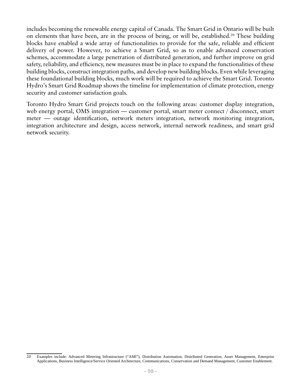includes becoming the renewable energy capital of Canada. The Smart Grid in Ontario will be built on elements that have been, are in the process of being, or will be, established.<sup>20</sup> These building blocks have enabled a wide array of functionalities to provide for the safe, reliable and efficient delivery of power. However, to achieve a Smart Grid, so as to enable advanced conservation schemes, accommodate a large penetration of distributed generation, and further improve on grid safety, reliability, and efficiency, new measures must be in place to expand the functionalities of these building blocks, construct integration paths, and develop new building blocks. Even while leveraging these foundational building blocks, much work will be required to achieve the Smart Grid. Toronto Hydro's Smart Grid Roadmap shows the timeline for implementation of climate protection, energy security and customer satisfaction goals.

Toronto Hydro Smart Grid projects touch on the following areas: customer display integration, web energy portal, OMS integration — customer portal, smart meter connect / disconnect, smart meter — outage identification, network meters integration, network monitoring integration, integration architecture and design, access network, internal network readiness, and smart grid network security.

<sup>20</sup> Examples include: Advanced Metering Infrastructure ("AMI"), Distribution Automation, Distributed Generation, Asset Management, Enterprise Applications, Business Intelligence/Service Oriented Architecture, Communications, Conservation and Demand Management, Customer Enablement.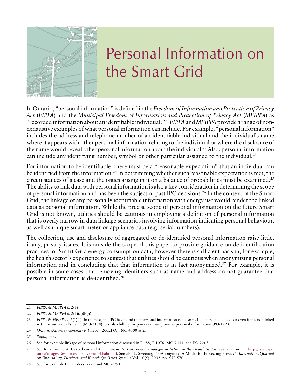

# Personal Information on the Smart Grid

In Ontario, "personal information" is defined in the *Freedom of Information and Protection of Privacy Act* (*FIPPA*) and the *Municipal Freedom of Information and Protection of Privacy Act* (*MFIPPA*) as "recorded information about an identifiable individual."21 *FIPPA* and *MFIPPA* provide a range of nonexhaustive examples of what personal information can include. For example, "personal information" includes the address and telephone number of an identifiable individual and the individual's name where it appears with other personal information relating to the individual or where the disclosure of the name would reveal other personal information about the individual.<sup>22</sup> Also, personal information can include any identifying number, symbol or other particular assigned to the individual.23

For information to be identifiable, there must be a "reasonable expectation" that an individual can be identified from the information.<sup>24</sup> In determining whether such reasonable expectation is met, the circumstances of a case and the issues arising in it on a balance of probabilities must be examined.25 The ability to link data with personal information is also a key consideration in determining the scope of personal information and has been the subject of past IPC decisions.26 In the context of the Smart Grid, the linkage of any personally identifiable information with energy use would render the linked data as personal information. While the precise scope of personal information on the future Smart Grid is not known, utilities should be cautious in employing a definition of personal information that is overly narrow in data linkage scenarios involving information indicating personal behaviour, as well as unique smart meter or appliance data (e.g. serial numbers).

The collection, use and disclosure of aggregated or de-identified personal information raise little, if any, privacy issues. It is outside the scope of this paper to provide guidance on de-identification practices for Smart Grid energy consumption data, however there is sufficient basis in, for example, the health sector's experience to suggest that utilities should be cautious when anonymizing personal information and in concluding that that information is in fact anonymized.27 For example, it is possible in some cases that removing identifiers such as name and address do not guarantee that personal information is de-identified.28

22 *FIPPA* & *MFIPPA* s. 2(1)(d)&(h)

<sup>21</sup> *FIPPA* & *MFIPPA* s. 2(1)

<sup>23</sup> *FIPPA* & *MFIPPA* s. 2(1)(c). In the past, the IPC has found that personal information can also include personal behaviour even if it is not linked with the individual's name (MO-2188). See also billing for power consumption as personal information (PO-1723).

<sup>24</sup> *Ontario (Attorney General) v. Pascoe*, [2002] O.J. No. 4300 at 2.

<sup>25</sup> *Supra*, at 6.

<sup>26</sup> See for example linkage of personal information discussed in P-488, P-1076, MO-2134, and PO-2265.

<sup>27</sup> See for example A. Cavoukian and K. E. Emam, *A Positive-Sum Paradigm in Action in the Health Sector*, available online: http://www.ipc. on.ca/images/Resources/positive-sum-khalid.pdf. See also L. Sweeney, "k-Anonymity: A Model for Protecting Privacy", *International Journal on Uncertainty, Fuzziness and Knowledge-Based Systems* Vol. 10(5), 2002, pp. 557-570.

<sup>28</sup> See for example IPC Orders P-722 and MO-2291.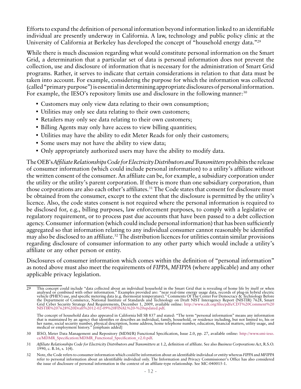Efforts to expand the definition of personal information beyond information linked to an identifiable individual are presently underway in California. A law, technology and public policy clinic at the University of California at Berkeley has developed the concept of "household energy data."29

While there is much discussion regarding what would constitute personal information on the Smart Grid, a determination that a particular set of data is personal information does not prevent the collection, use and disclosure of information that is necessary for the administration of Smart Grid programs. Rather, it serves to indicate that certain considerations in relation to that data must be taken into account. For example, considering the purpose for which the information was collected (called "primary purpose") is essential in determining appropriate disclosures of personal information. For example, the IESO's repository limits use and disclosure in the following manner:<sup>30</sup>

- Customers may only view data relating to their own consumption;
- Utilities may only see data relating to their own customers;
- Retailers may only see data relating to their own customers;
- Billing Agents may only have access to view billing quantities;
- Utilities may have the ability to edit Meter Reads for only their customers;
- Some users may not have the ability to view data;
- Only appropriately authorized users may have the ability to modify data.

The OEB's *Affiliate Relationships Code for Electricity Distributors and Transmitters* prohibits the release of consumer information (which could include personal information) to a utility's affiliate without the written consent of the consumer. An affiliate can be, for example, a subsidiary corporation under the utility or the utility's parent corporation. If there is more than one subsidiary corporation, than those corporations are also each other's affiliates.<sup>31</sup> The Code states that consent for disclosure must be obtained from the consumer, except to the extent that the disclosure is permitted by the utility's licence. Also, the code states consent is not required where the personal information is required to be disclosed for, e.g., billing purposes, law enforcement purposes, to comply with a legislative or regulatory requirement, or to process past due accounts that have been passed to a debt collection agency. Consumer information (which could include personal information) that has been sufficiently aggregated so that information relating to any individual consumer cannot reasonably be identified may also be disclosed to an affiliate.<sup>32</sup> The distribution licences for utilities contain similar provisions regarding disclosure of consumer information to any other party which would include a utility's affiliate or any other person or entity.

Disclosures of consumer information which comes within the definition of "personal information" as noted above must also meet the requirements of *FIPPA*, *MFIPPA* (where applicable) and any other applicable privacy legislation.

<sup>29</sup> This concept could include "data collected about an individual household in the Smart Grid that is revealing of home life by itself or when analysed or combined with other information." Examples provided are: "near real-time energy usage data, records of plug-in hybrid electric vehicle (PHEV) use, and specific metering data (e.g. thermostat temperature)." Comments Of The Center For Democracy & Technology Before the Department of Commerce, National Institute of Standards and Technology on Draft NIST Interagency Report (NISTIR) 7628, Smart Grid Cyber Security Strategy And Requirements, December 1, 2009, available online: http://www.cdt.org/files/pdfs/CDT%20Comment%20 NISTIR%207628%20Draft%2012-02-09%20FINAL%20-%20updated.pdf.

The concept of household data also appeared in California bill SB 837 and stated: "The term "personal information" means any information that is maintained by an agency that identifies or describes an individual, family, household, or residence including, but not limited to, his or her name, social security number, physical description, home address, home telephone number, education, financial matters, utility usage, and medical or employment history." [emphasis added]

<sup>30</sup> IESO, Meter Data Management and Repository (MDM/R) Functional Specification, Issue 2.0, pp. 27, available online: http://www.smi-ieso. ca/MDMR\_Specification/MDMR\_Functional\_Specification\_v2.0.pdf.

<sup>31</sup> *Affiliate Relationships Code for Electricity Distributors and Transmitters* at 1.2, definition of affiliate. See also *Business Corporations Act*, R.S.O. 1990, c. B.16, s. 1(4).

<sup>32</sup> Note, the Code refers to consumer information which could be information about an identifiable individual *or entity* whereas *FIPPA* and *MFIPPA* refer to personal information about an identifiable individual only. The Information and Privacy Commissioner's Office has also considered the issue of disclosure of personal information in the context of an affiliate-type relationship. See MC-040015-1.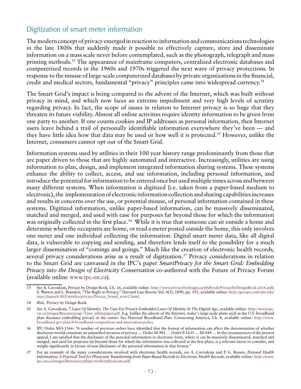## Digitization of smart meter information

The modern concept of privacy emerged in reaction to information and communications technologies in the late 1800s that suddenly made it possible to effectively capture, store and disseminate information on a mass scale never before contemplated, such as the photograph, telegraph and mass printing methods.33 The appearance of mainframe computers, centralized electronic databases and computerized records in the 1960s and 1970s triggered the next wave of privacy protections. In response to the misuse of large-scale computerized databases by private organizations in the financial, credit and medical sectors, fundamental "privacy" principles came into widespread currency.34

The Smart Grid's impact is being compared to the advent of the Internet, which was built without privacy in mind, and which now faces an extreme impediment and very high levels of scrutiny regarding privacy. In fact, the scope of issues in relation to Internet privacy is so huge that they threaten its future viability. Almost all online activities require identity information to be given from one party to another. If one counts cookies and IP addresses as personal information, then Internet users leave behind a trail of personally identifiable information everywhere they've been — and they have little idea how that data may be used or how well it is protected.35 However, unlike the Internet, consumers cannot opt out of the Smart Grid.

Information systems used by utilities in their 100 year history range predominantly from those that are paper driven to those that are highly automated and interactive. Increasingly, utilities are using information to plan, design, and implement integrated information sharing systems. These systems enhance the ability to collect, access, and use information, including personal information, and introduce the potential for information to be entered once but used multiple times across and between many different systems. When information is digitized (i.e. taken from a paper-based medium to electronic), the implementation of electronic information collection and sharing capabilities increases and results in concerns over the use, or potential misuse, of personal information contained in these systems. Digitized information, unlike paper-based information, can be massively disseminated, matched and merged, and used with ease for purposes far beyond those for which the information was originally collected in the first place.<sup>36</sup> While it is true that someone can sit outside a home and determine when the occupants are home, or read a meter posted outside the home, this only involves one meter and one individual collecting the information. Digital smart meter data, like all digital data, is vulnerable to copying and sending, and therefore lends itself to the possibility for a much larger dissemination of "comings and goings." Much like the creation of electronic health records, several privacy considerations arise as a result of digitization.<sup>37</sup> Privacy considerations in relation to the Smart Grid are canvassed in the IPC's paper *SmartPrivacy for the Smart Grid: Embedding Privacy into the Design of Electricity Conservation* co-authored with the Future of Privacy Forum (available online www.ipc.on.ca).

<sup>33</sup> See A. Cavoukian, Privacy by Design Book, Ch. 16, available online: http://www.privacybydesign.ca/pbdbook/PrivacybyDesignBook-ch16.pdf; S. Warren and L. Brandeis, "The Right to Privacy," *Harvard Law Review* Vol. 4(5), 1890, pp. 193, available online: http://groups.csail.mit.edu/ mac/classes/6.805/articles/privacy/Privacy\_brand\_warr2.html.

<sup>34</sup> *Ibid.,* Privacy by Design Book.

<sup>35</sup> See A. Cavoukian, *7 Laws Of Identity: The Case For Privacy-Embedded Laws Of Identity In The Digital Age*, available online: http://www.ipc. on.ca/images/Resources/up-7laws\_whitepaper.pdf. E.g. Unlike the advent of the Internet, today's large-scale plans such as the U.S. broadband plan discusses embedding privacy at the outset. See National Broadband Plan: Connecting America, Ch. 4, available online: http://www. broadband.gov/plan/4-broadband-competition-and-innovation-policy.

<sup>36</sup> IPC Order MO-1366: "A number of previous orders have identified that the format of information can affect the determination of whether disclosure would constitute an unjustified invasion of privacy … Order M-981 … Order P-1635 … M-849 … In the circumstances of the present appeal, I am satisfied that the disclosure of the personal information in electronic form, where it can be massively disseminated, matched and merged, and used for purposes far beyond those for which the information was collected in the first place, is a relevant factor to consider, and weighs significantly in favour of non-disclosure of the personal information in that format."

<sup>37</sup> For an example of the many considerations involved with electronic health records, see A. Cavoukian and P. G. Rossos, *Personal Health Information: A Practical Tool for Physicians Transitioning from Paper-Based Records to Electronic Health Records*, available online: http://www. ipc.on.ca/images/Resources/phipa-toolforphysicians.pdf.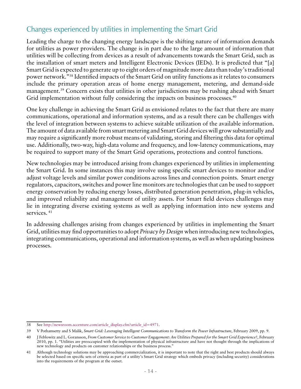## Changes experienced by utilities in implementing the Smart Grid

Leading the charge to the changing energy landscape is the shifting nature of information demands for utilities as power providers. The change is in part due to the large amount of information that utilities will be collecting from devices as a result of advancements towards the Smart Grid, such as the installation of smart meters and Intelligent Electronic Devices (IEDs). It is predicted that "[a] Smart Grid is expected to generate up to eight orders of magnitude more data than today's traditional power network."38 Identified impacts of the Smart Grid on utility functions as it relates to consumers include the primary operation areas of home energy management, metering, and demand-side management.39 Concern exists that utilities in other jurisdictions may be rushing ahead with Smart Grid implementation without fully considering the impacts on business processes.<sup>40</sup>

One key challenge in achieving the Smart Grid as envisioned relates to the fact that there are many communications, operational and information systems, and as a result there can be challenges with the level of integration between systems to achieve suitable utilization of the available information. The amount of data available from smart metering and Smart Grid devices will grow substantially and may require a significantly more robust means of validating, storing and filtering this data for optimal use. Additionally, two-way, high-data volume and frequency, and low-latency communications, may be required to support many of the Smart Grid operations, protections and control functions.

New technologies may be introduced arising from changes experienced by utilities in implementing the Smart Grid. In some instances this may involve using specific smart devices to monitor and/or adjust voltage levels and similar power conditions across lines and connection points. Smart energy regulators, capacitors, switches and power line monitors are technologies that can be used to support energy conservation by reducing energy losses, distributed generation penetration, plug-in vehicles, and improved reliability and management of utility assets. For Smart field devices challenges may lie in integrating diverse existing systems as well as applying information into new systems and services.  $41$ 

In addressing challenges arising from changes experienced by utilities in implementing the Smart Grid, utilities may find opportunities to adopt *Privacy by Design* when introducing new technologies, integrating communications, operational and information systems, as well as when updating business processes.

<sup>38</sup> See http://newsroom.accenture.com/article\_display.cfm?article\_id=4971.

<sup>39</sup> V Pothamsetty and S Malik, *Smart Grid: Leveraging Intelligent Communications to Transform the Power Infrastructure*, February 2009, pp. 9.

<sup>40</sup> J Feblowitz and L. Goransson, *From Customer Service to Customer Engagement: Are Utilities Prepared for the Smart Grid Experience?*, February 2010, pp. 1. "Utilities are preoccupied with the implementation of physical infrastructure and have not thought through the implications of new technology and products on customer relationships or the business process."

<sup>41</sup> Although technology solutions may be approaching commercialization, it is important to note that the right and best products should always be selected based on specific sets of criteria as part of a utility's Smart Grid strategy which embeds privacy (including security) considerations into the requirements of the program at the outset.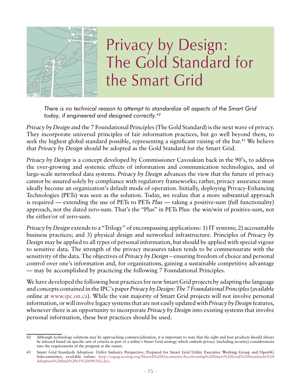

# Privacy by Design: The Gold Standard for the Smart Grid

*There is no technical reason to attempt to standardize all aspects of the Smart Grid today, if engineered and designed correctly.42*

*Privacy by Design* and the 7 Foundational Principles (The Gold Standard) is the next wave of privacy. They incorporate universal principles of fair information practices, but go well beyond them, to seek the highest global standard possible, representing a significant raising of the bar.<sup>43</sup> We believe that *Privacy by Design* should be adopted as the Gold Standard for the Smart Grid.

*Privacy by Design* is a concept developed by Commissioner Cavoukian back in the 90's, to address the ever-growing and systemic effects of information and communication technologies, and of large-scale networked data systems. *Privacy by Design* advances the view that the future of privacy cannot be assured solely by compliance with regulatory frameworks; rather, privacy assurance must ideally become an organization's default mode of operation. Initially, deploying Privacy-Enhancing Technologies (PETs) was seen as the solution. Today, we realize that a more substantial approach is required — extending the use of PETs to PETs *Plus* — taking a positive-sum (full functionality) approach, not the dated zero-sum. That's the "Plus" in PETs Plus: the win/win of positive-sum, not the either/or of zero-sum.

*Privacy by Design* extends to a "Trilogy" of encompassing applications: 1) IT systems; 2) accountable business practices; and 3) physical design and networked infrastructure. Principles of *Privacy by Design* may be applied to all types of personal information, but should be applied with special vigour to sensitive data. The strength of the privacy measures taken tends to be commensurate with the sensitivity of the data. The objectives of *Privacy by Design* – ensuring freedom of choice and personal control over one's information and, for organizations, gaining a sustainable competitive advantage — may be accomplished by practicing the following 7 Foundational Principles.

We have developed the following best practices for new Smart Grid projects by adapting the language and concepts contained in the IPC's paper *Privacy by Design: The 7 Foundational Principles* (available online at www.ipc.on.ca). While the vast majority of Smart Grid projects will not involve personal information, or will involve legacy systems that are not easily updated with *Privacy by Design* features, whenever there is an opportunity to incorporate *Privacy by Design* into existing systems that involve personal information, these best practices should be used.

<sup>42</sup> Although technology solutions may be approaching commercialization, it is important to note that the right and best products should always be selected based on specific sets of criteria as part of a utility's Smart Grid strategy which embeds privacy (including security) considerations into the requirements of the program at the outset.

<sup>43</sup> Smart Grid Standards Adoption: Utility Industry Perspective, Prepared for Smart Grid Utility Executive Working Group and OpenSG Subcommittee, available online: http://osgug.ucaiug.org/Shared%20Documents/Accelerating%20Smart%20Grid%20Standards%20 Adoption%20final%20v5%20090302.doc.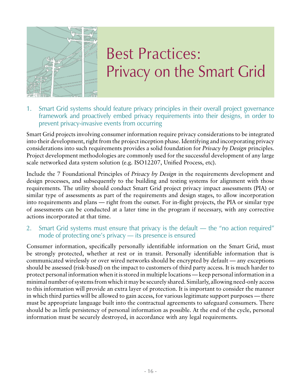

# Best Practices: Privacy on the Smart Grid

1. Smart Grid systems should feature privacy principles in their overall project governance framework and proactively embed privacy requirements into their designs, in order to prevent privacy-invasive events from occurring

Smart Grid projects involving consumer information require privacy considerations to be integrated into their development, right from the project inception phase. Identifying and incorporating privacy considerations into such requirements provides a solid foundation for *Privacy by Design* principles. Project development methodologies are commonly used for the successful development of any large scale networked data system solution (e.g. ISO12207, Unified Process, etc).

Include the 7 Foundational Principles of *Privacy by Design* in the requirements development and design processes, and subsequently to the building and testing systems for alignment with those requirements. The utility should conduct Smart Grid project privacy impact assessments (PIA) or similar type of assessments as part of the requirements and design stages, to allow incorporation into requirements and plans — right from the outset. For in-flight projects, the PIA or similar type of assessments can be conducted at a later time in the program if necessary, with any corrective actions incorporated at that time.

## 2. Smart Grid systems must ensure that privacy is the default — the "no action required" mode of protecting one's privacy — its presence is ensured

Consumer information, specifically personally identifiable information on the Smart Grid, must be strongly protected, whether at rest or in transit. Personally identifiable information that is communicated wirelessly or over wired networks should be encrypted by default — any exceptions should be assessed (risk-based) on the impact to customers of third party access. It is much harder to protect personal information when it is stored in multiple locations — keep personal information in a minimal number of systems from which it may be securely shared. Similarly, allowing need-only access to this information will provide an extra layer of protection. It is important to consider the manner in which third parties will be allowed to gain access, for various legitimate support purposes — there must be appropriate language built into the contractual agreements to safeguard consumers. There should be as little persistency of personal information as possible. At the end of the cycle, personal information must be securely destroyed, in accordance with any legal requirements.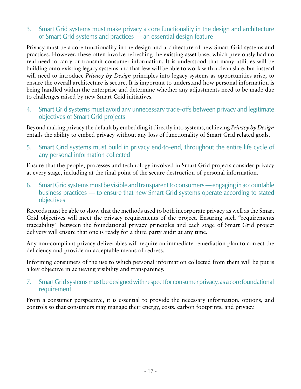## 3. Smart Grid systems must make privacy a core functionality in the design and architecture of Smart Grid systems and practices — an essential design feature

Privacy must be a core functionality in the design and architecture of new Smart Grid systems and practices. However, these often involve refreshing the existing asset base, which previously had no real need to carry or transmit consumer information. It is understood that many utilities will be building onto existing legacy systems and that few will be able to work with a clean slate, but instead will need to introduce *Privacy by Design* principles into legacy systems as opportunities arise, to ensure the overall architecture is secure. It is important to understand how personal information is being handled within the enterprise and determine whether any adjustments need to be made due to challenges raised by new Smart Grid initiatives.

4. Smart Grid systems must avoid any unnecessary trade-offs between privacy and legitimate objectives of Smart Grid projects

Beyond making privacy the default by embedding it directly into systems, achieving *Privacy by Design* entails the ability to embed privacy without any loss of functionality of Smart Grid related goals.

5. Smart Grid systems must build in privacy end-to-end, throughout the entire life cycle of any personal information collected

Ensure that the people, processes and technology involved in Smart Grid projects consider privacy at every stage, including at the final point of the secure destruction of personal information.

6. Smart Grid systems must be visible and transparent to consumers — engaging in accountable business practices — to ensure that new Smart Grid systems operate according to stated objectives

Records must be able to show that the methods used to both incorporate privacy as well as the Smart Grid objectives will meet the privacy requirements of the project. Ensuring such "requirements traceability" between the foundational privacy principles and each stage of Smart Grid project delivery will ensure that one is ready for a third party audit at any time.

Any non-compliant privacy deliverables will require an immediate remediation plan to correct the deficiency and provide an acceptable means of redress.

Informing consumers of the use to which personal information collected from them will be put is a key objective in achieving visibility and transparency.

7. Smart Grid systems must be designed with respect for consumer privacy, as a core foundational requirement

From a consumer perspective, it is essential to provide the necessary information, options, and controls so that consumers may manage their energy, costs, carbon footprints, and privacy.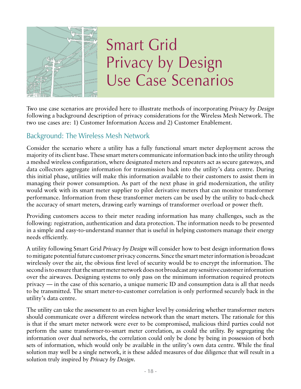

# Smart Grid Privacy by Design Use Case Scenarios

Two use case scenarios are provided here to illustrate methods of incorporating *Privacy by Design* following a background description of privacy considerations for the Wireless Mesh Network. The two use cases are: 1) Customer Information Access and 2) Customer Enablement.

## Background: The Wireless Mesh Network

Consider the scenario where a utility has a fully functional smart meter deployment across the majority of its client base. These smart meters communicate information back into the utility through a meshed wireless configuration, where designated meters and repeaters act as secure gateways, and data collectors aggregate information for transmission back into the utility's data centre. During this initial phase, utilities will make this information available to their customers to assist them in managing their power consumption. As part of the next phase in grid modernization, the utility would work with its smart meter supplier to pilot derivative meters that can monitor transformer performance. Information from these transformer meters can be used by the utility to back-check the accuracy of smart meters, drawing early warnings of transformer overload or power theft.

Providing customers access to their meter reading information has many challenges, such as the following: registration, authentication and data protection. The information needs to be presented in a simple and easy-to-understand manner that is useful in helping customers manage their energy needs efficiently.

A utility following Smart Grid *Privacy by Design* will consider how to best design information flows to mitigate potential future customer privacy concerns. Since the smart meter information is broadcast wirelessly over the air, the obvious first level of security would be to encrypt the information. The second is to ensure that the smart meter network does not broadcast any sensitive customer information over the airwaves. Designing systems to only pass on the minimum information required protects privacy — in the case of this scenario, a unique numeric ID and consumption data is all that needs to be transmitted. The smart meter-to-customer correlation is only performed securely back in the utility's data centre.

The utility can take the assessment to an even higher level by considering whether transformer meters should communicate over a different wireless network than the smart meters. The rationale for this is that if the smart meter network were ever to be compromised, malicious third parties could not perform the same transformer-to-smart meter correlation, as could the utility. By segregating the information over dual networks, the correlation could only be done by being in possession of both sets of information, which would only be available in the utility's own data centre. While the final solution may well be a single network, it is these added measures of due diligence that will result in a solution truly inspired by *Privacy by Design*.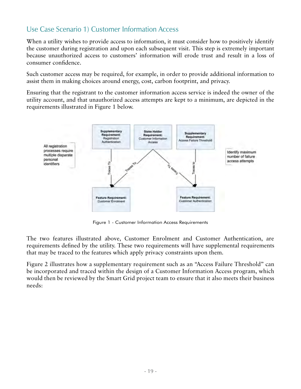## Use Case Scenario 1) Customer Information Access

When a utility wishes to provide access to information, it must consider how to positively identify the customer during registration and upon each subsequent visit. This step is extremely important because unauthorized access to customers' information will erode trust and result in a loss of consumer confidence.

Such customer access may be required, for example, in order to provide additional information to assist them in making choices around energy, cost, carbon footprint, and privacy.

Ensuring that the registrant to the customer information access service is indeed the owner of the utility account, and that unauthorized access attempts are kept to a minimum, are depicted in the requirements illustrated in Figure 1 below.



Figure 1 - Customer Information Access Requirements

The two features illustrated above, Customer Enrolment and Customer Authentication, are requirements defined by the utility. These two requirements will have supplemental requirements that may be traced to the features which apply privacy constraints upon them.

Figure 2 illustrates how a supplementary requirement such as an "Access Failure Threshold" can be incorporated and traced within the design of a Customer Information Access program, which would then be reviewed by the Smart Grid project team to ensure that it also meets their business needs: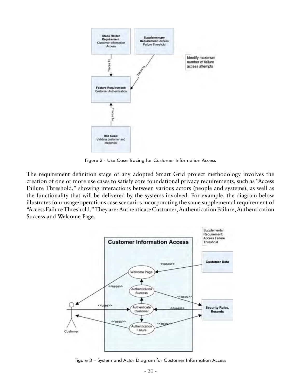

Figure 2 - Use Case Tracing for Customer Information Access

The requirement definition stage of any adopted Smart Grid project methodology involves the creation of one or more use cases to satisfy core foundational privacy requirements, such as "Access Failure Threshold," showing interactions between various actors (people and systems), as well as the functionality that will be delivered by the systems involved. For example, the diagram below illustrates four usage/operations case scenarios incorporating the same supplemental requirement of "Access Failure Threshold." They are: Authenticate Customer, Authentication Failure, Authentication Success and Welcome Page.



Figure 3 – System and Actor Diagram for Customer Information Access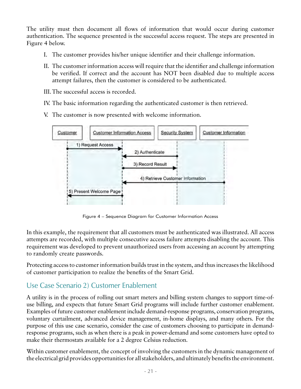The utility must then document all flows of information that would occur during customer authentication. The sequence presented is the successful access request. The steps are presented in Figure 4 below.

- I. The customer provides his/her unique identifier and their challenge information.
- II. The customer information access will require that the identifier and challenge information be verified. If correct and the account has NOT been disabled due to multiple access attempt failures, then the customer is considered to be authenticated.
- III.The successful access is recorded.
- IV. The basic information regarding the authenticated customer is then retrieved.
- V. The customer is now presented with welcome information.



Figure 4 – Sequence Diagram for Customer Information Access

In this example, the requirement that all customers must be authenticated was illustrated. All access attempts are recorded, with multiple consecutive access failure attempts disabling the account. This requirement was developed to prevent unauthorized users from accessing an account by attempting to randomly create passwords.

Protecting access to customer information builds trust in the system, and thus increases the likelihood of customer participation to realize the benefits of the Smart Grid.

## Use Case Scenario 2) Customer Enablement

A utility is in the process of rolling out smart meters and billing system changes to support time-ofuse billing, and expects that future Smart Grid programs will include further customer enablement. Examples of future customer enablement include demand-response programs, conservation programs, voluntary curtailment, advanced device management, in-home displays, and many others. For the purpose of this use case scenario, consider the case of customers choosing to participate in demandresponse programs, such as when there is a peak in power-demand and some customers have opted to make their thermostats available for a 2 degree Celsius reduction.

Within customer enablement, the concept of involving the customers in the dynamic management of the electrical grid provides opportunities for all stakeholders, and ultimately benefits the environment.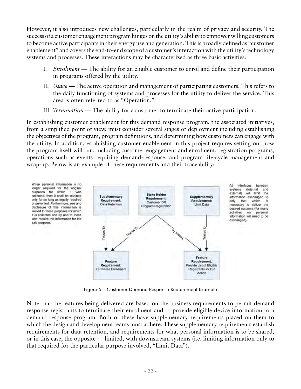However, it also introduces new challenges, particularly in the realm of privacy and security. The success of a customer engagement program hinges on the utility's ability to empower willing customers to become active participants in their energy use and generation. This is broadly defined as "customer enablement" and covers the end-to-end scope of a customer's interaction with the utility's technology systems and processes. These interactions may be characterized as three basic activities:

- I. *Enrolment* The ability for an eligible customer to enrol and define their participation in programs offered by the utility.
- II. *Usage* The active operation and management of participating customers. This refers to the daily functioning of systems and processes for the utility to deliver the service. This area is often referred to as "Operation."
- III. *Termination —* The ability for a customer to terminate their active participation.

In establishing customer enablement for this demand response program, the associated initiatives, from a simplified point of view, must consider several stages of deployment including establishing the objectives of the program, program definitions, and determining how customers can engage with the utility. In addition, establishing customer enablement in this project requires setting out how the program itself will run, including customer engagement and enrolment, registration programs, operations such as events requiring demand-response, and program life-cycle management and wrap-up. Below is an example of these requirements and their traceability:



said purpose.

between

personal

and

 $\vert$ s

Figure 5 – Customer Demand Response Requirement Example

Note that the features being delivered are based on the business requirements to permit demand response registrants to terminate their enrolment and to provide eligible device information to a demand response program. Both of these have supplementary requirements placed on them to which the design and development teams must adhere. These supplementary requirements establish requirements for data retention, and requirements for what personal information is to be shared, or in this case, the opposite — limited, with downstream systems (i.e. limiting information only to that required for the particular purpose involved, "Limit Data").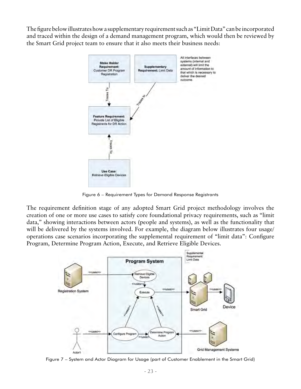The figure below illustrates how a supplementary requirement such as "Limit Data" can be incorporated and traced within the design of a demand management program, which would then be reviewed by the Smart Grid project team to ensure that it also meets their business needs:



Figure 6 – Requirement Types for Demand Response Registrants

The requirement definition stage of any adopted Smart Grid project methodology involves the creation of one or more use cases to satisfy core foundational privacy requirements, such as "limit data," showing interactions between actors (people and systems), as well as the functionality that will be delivered by the systems involved. For example, the diagram below illustrates four usage/ operations case scenarios incorporating the supplemental requirement of "limit data": Configure Program, Determine Program Action, Execute, and Retrieve Eligible Devices.



Figure 7 – System and Actor Diagram for Usage (part of Customer Enablement in the Smart Grid)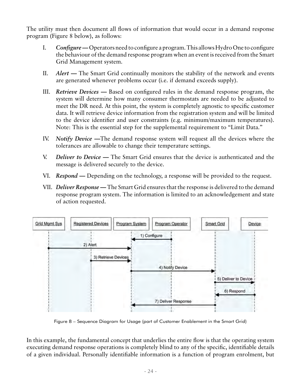The utility must then document all flows of information that would occur in a demand response program (Figure 8 below), as follows:

- I. *Configure***—** Operators need to configure a program. This allows Hydro One to configure the behaviour of the demand response program when an event is received from the Smart Grid Management system.
- II. *Alert* **—** The Smart Grid continually monitors the stability of the network and events are generated whenever problems occur (i.e. if demand exceeds supply).
- III. *Retrieve Devices* **—** Based on configured rules in the demand response program, the system will determine how many consumer thermostats are needed to be adjusted to meet the DR need. At this point, the system is completely agnostic to specific customer data. It will retrieve device information from the registration system and will be limited to the device identifier and user constraints (e.g. minimum/maximum temperatures). Note: This is the essential step for the supplemental requirement to "Limit Data."
- IV. *Notify Device* **—**The demand response system will request all the devices where the tolerances are allowable to change their temperature settings.
- V. *Deliver to Device* **—** The Smart Grid ensures that the device is authenticated and the message is delivered securely to the device.
- VI. *Respond* **—** Depending on the technology, a response will be provided to the request.
- VII. *Deliver Response* **—** The Smart Grid ensures that the response is delivered to the demand response program system. The information is limited to an acknowledgement and state of action requested.



Figure 8 – Sequence Diagram for Usage (part of Customer Enablement in the Smart Grid)

In this example, the fundamental concept that underlies the entire flow is that the operating system executing demand response operations is completely blind to any of the specific, identifiable details of a given individual. Personally identifiable information is a function of program enrolment, but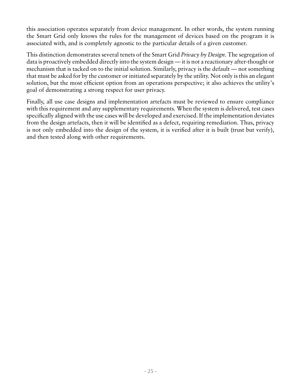this association operates separately from device management. In other words, the system running the Smart Grid only knows the rules for the management of devices based on the program it is associated with, and is completely agnostic to the particular details of a given customer.

This distinction demonstrates several tenets of the Smart Grid *Privacy by Design*. The segregation of data is proactively embedded directly into the system design — it is not a reactionary after-thought or mechanism that is tacked on to the initial solution. Similarly, privacy is the default — not something that must be asked for by the customer or initiated separately by the utility. Not only is this an elegant solution, but the most efficient option from an operations perspective; it also achieves the utility's goal of demonstrating a strong respect for user privacy.

Finally, all use case designs and implementation artefacts must be reviewed to ensure compliance with this requirement and any supplementary requirements. When the system is delivered, test cases specifically aligned with the use cases will be developed and exercised. If the implementation deviates from the design artefacts, then it will be identified as a defect, requiring remediation. Thus, privacy is not only embedded into the design of the system, it is verified after it is built (trust but verify), and then tested along with other requirements.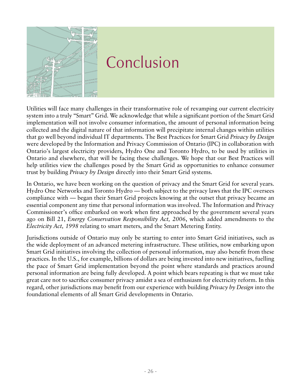

# Conclusion

Utilities will face many challenges in their transformative role of revamping our current electricity system into a truly "Smart" Grid. We acknowledge that while a significant portion of the Smart Grid implementation will not involve consumer information, the amount of personal information being collected and the digital nature of that information will precipitate internal changes within utilities that go well beyond individual IT departments. The Best Practices for Smart Grid *Privacy by Design* were developed by the Information and Privacy Commission of Ontario (IPC) in collaboration with Ontario's largest electricity providers, Hydro One and Toronto Hydro, to be used by utilities in Ontario and elsewhere, that will be facing these challenges. We hope that our Best Practices will help utilities view the challenges posed by the Smart Grid as opportunities to enhance consumer trust by building *Privacy by Design* directly into their Smart Grid systems.

In Ontario, we have been working on the question of privacy and the Smart Grid for several years. Hydro One Networks and Toronto Hydro — both subject to the privacy laws that the IPC oversees compliance with — began their Smart Grid projects knowing at the outset that privacy became an essential component any time that personal information was involved. The Information and Privacy Commissioner's office embarked on work when first approached by the government several years ago on Bill 21, *Energy Conservation Responsibility Act, 2006*, which added amendments to the *Electricity Act, 1998* relating to smart meters, and the Smart Metering Entity.

Jurisdictions outside of Ontario may only be starting to enter into Smart Grid initiatives, such as the wide deployment of an advanced metering infrastructure. These utilities, now embarking upon Smart Grid initiatives involving the collection of personal information, may also benefit from these practices. In the U.S., for example, billions of dollars are being invested into new initiatives, fuelling the pace of Smart Grid implementation beyond the point where standards and practices around personal information are being fully developed. A point which bears repeating is that we must take great care not to sacrifice consumer privacy amidst a sea of enthusiasm for electricity reform. In this regard, other jurisdictions may benefit from our experience with building *Privacy by Design* into the foundational elements of all Smart Grid developments in Ontario.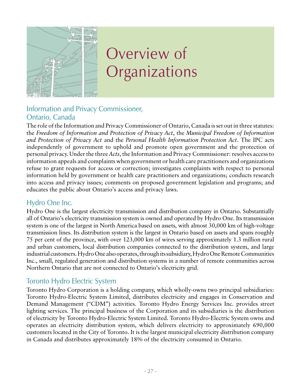

# Overview of **Organizations**

## Information and Privacy Commissioner, Ontario, Canada

The role of the Information and Privacy Commissioner of Ontario, Canada is set out in three statutes: the *Freedom of Information and Protection of Privacy Act*, the *Municipal Freedom of Information and Protection of Privacy Act* and the *Personal Health Information Protection Act*. The IPC acts independently of government to uphold and promote open government and the protection of personal privacy. Under the three *Acts*, the Information and Privacy Commissioner: resolves access to information appeals and complaints when government or health care practitioners and organizations refuse to grant requests for access or correction; investigates complaints with respect to personal information held by government or health care practitioners and organizations; conducts research into access and privacy issues; comments on proposed government legislation and programs; and educates the public about Ontario's access and privacy laws.

## Hydro One Inc.

Hydro One is the largest electricity transmission and distribution company in Ontario. Substantially all of Ontario's electricity transmission system is owned and operated by Hydro One. Its transmission system is one of the largest in North America based on assets, with almost 30,000 km of high-voltage transmission lines. Its distribution system is the largest in Ontario based on assets and spans roughly 75 per cent of the province, with over 123,000 km of wires serving approximately 1.3 million rural and urban customers, local distribution companies connected to the distribution system, and large industrial customers. Hydro One also operates, through its subsidiary, Hydro One Remote Communities Inc., small, regulated generation and distribution systems in a number of remote communities across Northern Ontario that are not connected to Ontario's electricity grid.

## Toronto Hydro Electric System

Toronto Hydro Corporation is a holding company, which wholly-owns two principal subsidiaries: Toronto Hydro-Electric System Limited, distributes electricity and engages in Conservation and Demand Management ("CDM") activities. Toronto Hydro Energy Services Inc. provides street lighting services. The principal business of the Corporation and its subsidiaries is the distribution of electricity by Toronto Hydro-Electric System Limited. Toronto Hydro-Electric System owns and operates an electricity distribution system, which delivers electricity to approximately 690,000 customers located in the City of Toronto. It is the largest municipal electricity distribution company in Canada and distributes approximately 18% of the electricity consumed in Ontario.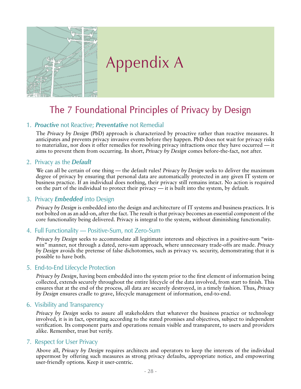

# Appendix A

## The 7 Foundational Principles of Privacy by Design

## 1. *Proactive* not Reactive; *Preventative* not Remedial

The *Privacy by Design* (PbD) approach is characterized by proactive rather than reactive measures. It anticipates and prevents privacy invasive events before they happen. PbD does not wait for privacy risks to materialize, nor does it offer remedies for resolving privacy infractions once they have occurred — it aims to prevent them from occurring. In short, *Privacy by Design* comes before-the-fact, not after.

### 2. Privacy as the *Default*

We can all be certain of one thing — the default rules! *Privacy by Design* seeks to deliver the maximum degree of privacy by ensuring that personal data are automatically protected in any given IT system or business practice. If an individual does nothing, their privacy still remains intact. No action is required on the part of the individual to protect their privacy — it is built into the system, by default.

### 3. Privacy *Embedded* into Design

*Privacy by Design* is embedded into the design and architecture of IT systems and business practices. It is not bolted on as an add-on, after the fact. The result is that privacy becomes an essential component of the core functionality being delivered. Privacy is integral to the system, without diminishing functionality.

### 4. Full Functionality — Positive-Sum, not Zero-Sum

*Privacy by Design* seeks to accommodate all legitimate interests and objectives in a positive-sum "winwin" manner, not through a dated, zero-sum approach, where unnecessary trade-offs are made. *Privacy by Design* avoids the pretense of false dichotomies, such as privacy vs. security, demonstrating that it is possible to have both.

### 5. End-to-End Lifecycle Protection

*Privacy by Design*, having been embedded into the system prior to the first element of information being collected, extends securely throughout the entire lifecycle of the data involved, from start to finish. This ensures that at the end of the process, all data are securely destroyed, in a timely fashion. Thus, *Privacy by Design* ensures cradle to grave, lifecycle management of information, end-to-end.

### 6. Visibility and Transparency

*Privacy by Design* seeks to assure all stakeholders that whatever the business practice or technology involved, it is in fact, operating according to the stated promises and objectives, subject to independent verification. Its component parts and operations remain visible and transparent, to users and providers alike. Remember, trust but verify.

### 7. Respect for User Privacy

Above all, *Privacy by Design* requires architects and operators to keep the interests of the individual uppermost by offering such measures as strong privacy defaults, appropriate notice, and empowering user-friendly options. Keep it user-centric.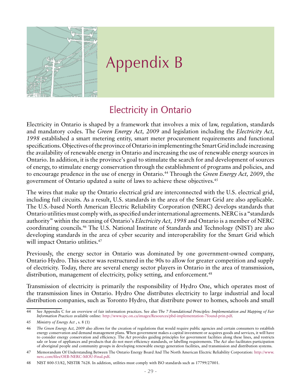

# Appendix B

## Electricity in Ontario

Electricity in Ontario is shaped by a framework that involves a mix of law, regulation, standards and mandatory codes. The *Green Energy Act, 2009* and legislation including the *Electricity Act, 1998* established a smart metering entity, smart meter procurement requirements and functional specifications. Objectives of the province of Ontario in implementing the Smart Grid include increasing the availability of renewable energy in Ontario and increasing the use of renewable energy sources in Ontario. In addition, it is the province's goal to stimulate the search for and development of sources of energy, to stimulate energy conservation through the establishment of programs and policies, and to encourage prudence in the use of energy in Ontario.44 Through the *Green Energy Act, 2009*, the government of Ontario updated a suite of laws to achieve these objectives.45

The wires that make up the Ontario electrical grid are interconnected with the U.S. electrical grid, including full circuits. As a result, U.S. standards in the area of the Smart Grid are also applicable. The U.S.-based North American Electric Reliability Corporation (NERC) develops standards that Ontario utilities must comply with, as specified under international agreements. NERC is a "standards authority" within the meaning of Ontario's *Electricity Act, 1998* and Ontario is a member of NERC coordinating councils.46 The U.S. National Institute of Standards and Technology (NIST) are also developing standards in the area of cyber security and interoperability for the Smart Grid which will impact Ontario utilities.<sup>47</sup>

Previously, the energy sector in Ontario was dominated by one government-owned company, Ontario Hydro. This sector was restructured in the 90s to allow for greater competition and supply of electricity. Today, there are several energy sector players in Ontario in the area of transmission, distribution, management of electricity, policy setting, and enforcement.<sup>48</sup>

Transmission of electricity is primarily the responsibility of Hydro One, which operates most of the transmission lines in Ontario. Hydro One distributes electricity to large industrial and local distribution companies, such as Toronto Hydro, that distribute power to homes, schools and small

<sup>44</sup> See Appendix C for an overview of fair information practices. See also *The 7 Foundational Principles: Implementation and Mapping of Fair Information Practices* available online: http://www.ipc.on.ca/images/Resources/pbd-implementation-7found-prin.pdf.

<sup>45</sup> *Ministry of Energy Act* , s. 8 (1)

<sup>46</sup> *The Green Energy Act, 2009* also allows for the creation of regulations that would require public agencies and certain consumers to establish energy conservation and demand management plans. When government makes a capital investment or acquires goods and services, it will have to consider energy conservation and efficiency. The *Act* provides guiding principles for government facilities along these lines, and restricts sale or lease of appliances and products that do not meet efficiency standards, or labelling requirements. The *Act* also facilitates participation of aboriginal people and community groups in developing renewable energy generation facilities, and transmission and distribution systems.

<sup>47</sup> Memorandum Of Understanding Between The Ontario Energy Board And The North American Electric Reliability Corporation: http://www. nerc.com/files/OEB-NERC-MOU-Final.pdf.

<sup>48</sup> NIST 800-53/82, NISTIR 7628. In addition, utilities must comply with ISO standards such as 17799/27001.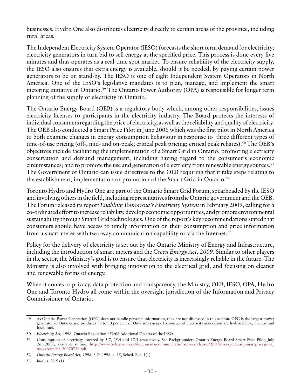businesses. Hydro One also distributes electricity directly to certain areas of the province, including rural areas.

The Independent Electricity System Operator (IESO) forecasts the short term demand for electricity; electricity generators in turn bid to sell energy at the specified price. This process is done every five minutes and thus operates as a real-time spot market. To ensure reliability of the electricity supply, the IESO also ensures that extra energy is available, should it be needed, by paying certain power generators to be on stand-by. The IESO is one of eight Independent System Operators in North America. One of the IESO's legislative mandates is to plan, manage, and implement the smart metering initiative in Ontario.49 The Ontario Power Authority (OPA) is responsible for longer term planning of the supply of electricity in Ontario.

The Ontario Energy Board (OEB) is a regulatory body which, among other responsibilities, issues electricity licenses to participants in the electricity industry. The Board protects the interests of individual consumers regarding the price of electricity, as well as the reliability and quality of electricity. The OEB also conducted a Smart Price Pilot in June 2006 which was the first pilot in North America to both examine changes in energy consumption behaviour in response to three different types of time-of-use pricing (off-, mid- and on-peak; critical peak pricing; critical peak rebates).<sup>50</sup> The OEB's objectives include facilitating the implementation of a Smart Grid in Ontario; promoting electricity conservation and demand management, including having regard to the consumer's economic circumstances; and to promote the use and generation of electricity from renewable energy sources.<sup>51</sup> The Government of Ontario can issue directives to the OEB requiring that it take steps relating to the establishment, implementation or promotion of the Smart Grid in Ontario.<sup>52</sup>

Toronto Hydro and Hydro One are part of the Ontario Smart Grid Forum, spearheaded by the IESO and involving others in the field, including representatives from the Ontario government and the OEB. The Forum released its report *Enabling Tomorrow's Electricity System* in February 2009, calling for a co-ordinated effort to increase reliability, develop economic opportunities, and promote environmental sustainability through Smart Grid technologies. One of the report's key recommendations stated that consumers should have access to timely information on their consumption and price information from a smart meter with two-way communication capability or via the Internet.<sup>53</sup>

Policy for the delivery of electricity is set out by the Ontario Ministry of Energy and Infrastructure, including the introduction of smart meters and the *Green Energy Act, 2009*. Similar to other players in the sector, the Ministry's goal is to ensure that electricity is increasingly reliable in the future. The Ministry is also involved with bringing innovation to the electrical grid, and focusing on cleaner and renewable forms of energy.

When it comes to privacy, data protection and transparency, the Ministry, OEB, IESO, OPA, Hydro One and Toronto Hydro all come within the oversight jurisdiction of the Information and Privacy Commissioner of Ontario.

<sup>49</sup> As Ontario Power Generation (OPG) does not handle personal information, they are not discussed in this section. OPG is the largest power generator in Ontario and produces 70 to 80 per cent of Ontario's energy. Its sources of electricity generation are hydroelectric, nuclear and fossil fuel.

<sup>50</sup> *Electricity Act, 1998*, Ontario Regulation 452/06 Additional Objects of the IESO.

<sup>51</sup> Consumption of electricity lowered by 5.7, 25.4 and 17.5 respectively. See Backgrounder: Ontario Energy Board Smart Price Pilot, July 26, 2007, available online: http://www.oeb.gov.on.ca/documents/communications/pressreleases/2007/press release smartpricepilot backgrounder\_20070726.pdf.

<sup>52</sup> *Ontario Energy Board Act, 1998*, S.O. 1998, c. 15, Sched. B, s. 1(1)

<sup>53</sup> *Ibid.,* s. 28.5 (1)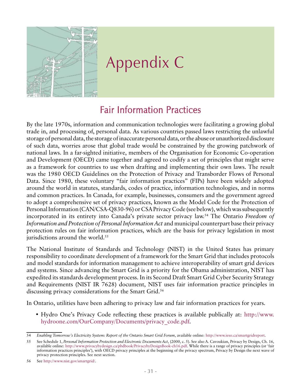

# Appendix C

## Fair Information Practices

By the late 1970s, information and communication technologies were facilitating a growing global trade in, and processing of, personal data. As various countries passed laws restricting the unlawful storage of personal data, the storage of inaccurate personal data, or the abuse or unauthorized disclosure of such data, worries arose that global trade would be constrained by the growing patchwork of national laws. In a far-sighted initiative, members of the Organisation for Economic Co-operation and Development (OECD) came together and agreed to codify a set of principles that might serve as a framework for countries to use when drafting and implementing their own laws. The result was the 1980 OECD Guidelines on the Protection of Privacy and Transborder Flows of Personal Data. Since 1980, these voluntary "fair information practices" (FIPs) have been widely adopted around the world in statutes, standards, codes of practice, information technologies, and in norms and common practices. In Canada, for example, businesses, consumers and the government agreed to adopt a comprehensive set of privacy practices, known as the Model Code for the Protection of Personal Information (CAN/CSA-Q830-96) or CSA Privacy Code (see below), which was subsequently incorporated in its entirety into Canada's private sector privacy law.54 The Ontario *Freedom of Information and Protection of Personal Information Act* and municipal counterpart base their privacy protection rules on fair information practices, which are the basis for privacy legislation in most jurisdictions around the world.<sup>55</sup>

The National Institute of Standards and Technology (NIST) in the United States has primary responsibility to coordinate development of a framework for the Smart Grid that includes protocols and model standards for information management to achieve interoperability of smart grid devices and systems. Since advancing the Smart Grid is a priority for the Obama administration, NIST has expedited its standards development process. In its Second Draft Smart Grid Cyber Security Strategy and Requirements (NIST IR 7628) document, NIST uses fair information practice principles in discussing privacy considerations for the Smart Grid.<sup>56</sup>

In Ontario, utilities have been adhering to privacy law and fair information practices for years.

• Hydro One's Privacy Code reflecting these practices is available publically at: http://www. hydroone.com/OurCompany/Documents/privacy\_code.pdf.

<sup>54</sup> *Enabling Tomorrow's Electricity System: Report of the Ontario Smart Grid Forum*, available online: http://www.ieso.ca/smartgridreport.

<sup>55</sup> See Schedule 1, *Personal Information Protection and Electronic Documents Act*, (2000, c. 5). See also A. Cavoukian, Privacy by Design, Ch. 16, available online: http://www.privacybydesign.ca/pbdbook/PrivacybyDesignBook-ch16.pdf. While there is a range of privacy principles (or 'fair information practices principles'), with OECD privacy principles at the beginning of the privacy spectrum, Privacy by Design the next wave of privacy protection principles. See next section.

<sup>56</sup> See http://www.nist.gov/smartgrid/.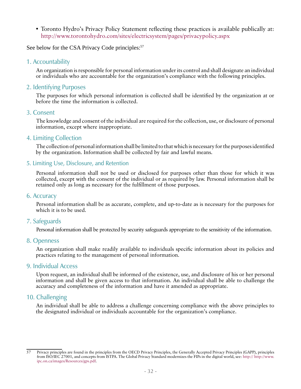• Toronto Hydro's Privacy Policy Statement reflecting these practices is available publically at: http://www.torontohydro.com/sites/electricsystem/pages/privacypolicy.aspx

See below for the CSA Privacy Code principles:<sup>57</sup>

### 1. Accountability

An organization is responsible for personal information under its control and shall designate an individual or individuals who are accountable for the organization's compliance with the following principles.

## 2. Identifying Purposes

The purposes for which personal information is collected shall be identified by the organization at or before the time the information is collected.

### 3. Consent

The knowledge and consent of the individual are required for the collection, use, or disclosure of personal information, except where inappropriate.

### 4. Limiting Collection

The collection of personal information shall be limited to that which is necessary for the purposes identified by the organization. Information shall be collected by fair and lawful means.

### 5. Limiting Use, Disclosure, and Retention

Personal information shall not be used or disclosed for purposes other than those for which it was collected, except with the consent of the individual or as required by law. Personal information shall be retained only as long as necessary for the fulfillment of those purposes.

### 6. Accuracy

Personal information shall be as accurate, complete, and up-to-date as is necessary for the purposes for which it is to be used.

### 7. Safeguards

Personal information shall be protected by security safeguards appropriate to the sensitivity of the information.

### 8. Openness

An organization shall make readily available to individuals specific information about its policies and practices relating to the management of personal information.

### 9. Individual Access

Upon request, an individual shall be informed of the existence, use, and disclosure of his or her personal information and shall be given access to that information. An individual shall be able to challenge the accuracy and completeness of the information and have it amended as appropriate.

### 10. Challenging

An individual shall be able to address a challenge concerning compliance with the above principles to the designated individual or individuals accountable for the organization's compliance.

<sup>57</sup> Privacy principles are found in the principles from the OECD Privacy Principles, the Generally Accepted Privacy Principles (GAPP), principles from ISO/IEC 27001, and concepts from ISTPA. The Global Privacy Standard modernizes the FIPs in the digital world, see: http:// http://www. ipc.on.ca/images/Resources/gps.pdf.